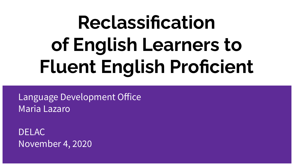# **Reclassification of English Learners to Fluent English Proficient**

Language Development Office Maria Lazaro

DELAC November 4, 2020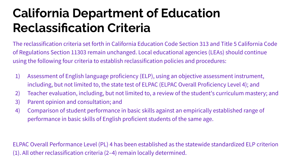### **California Department of Education Reclassification Criteria**

The reclassification criteria set forth in California Education Code Section 313 and Title 5 California Code of Regulations Section 11303 remain unchanged. Local educational agencies (LEAs) should continue using the following four criteria to establish reclassification policies and procedures:

- 1) Assessment of English language proficiency (ELP), using an objective assessment instrument, including, but not limited to, the state test of ELPAC (ELPAC Overall Proficiency Level 4); and
- 2) Teacher evaluation, including, but not limited to, a review of the student's curriculum mastery; and
- 3) Parent opinion and consultation; and
- 4) Comparison of student performance in basic skills against an empirically established range of performance in basic skills of English proficient students of the same age.

ELPAC Overall Performance Level (PL) 4 has been established as the statewide standardized ELP criterion (1). All other reclassification criteria (2–4) remain locally determined.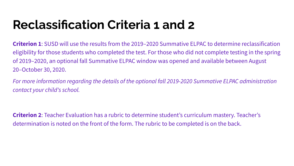### **Reclassification Criteria 1 and 2**

**Criterion 1**: SUSD will use the results from the 2019–2020 Summative ELPAC to determine reclassification eligibility for those students who completed the test. For those who did not complete testing in the spring of 2019–2020, an optional fall Summative ELPAC window was opened and available between August 20–October 30, 2020.

*For more information regarding the details of the optional fall 2019-2020 Summative ELPAC administration contact your child's school.*

**Criterion 2**: Teacher Evaluation has a rubric to determine student's curriculum mastery. Teacher's determination is noted on the front of the form. The rubric to be completed is on the back.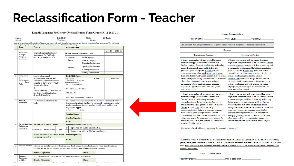#### **Reclassification Form - Teacher**

#### English Language Proficiency Reclassification Form Grades K-12 2020-21

| Name:<br>School: |          | PERM ID:                                                                                                                                                                                                                                                                              | SSID:  | Birthdate: |           |
|------------------|----------|---------------------------------------------------------------------------------------------------------------------------------------------------------------------------------------------------------------------------------------------------------------------------------------|--------|------------|-----------|
|                  |          | Teacher:                                                                                                                                                                                                                                                                              | Grade: |            |           |
|                  |          | In order to be reclassified from an English Learner to proficient in English, the student must meet state and district criteria that includes assessment of their proficiency<br>in the English language as well as an assessment of performance in basic skills(5CCR 11303 [a] [d]). |        |            |           |
| Type             | Criteria | <b>Documentation</b>                                                                                                                                                                                                                                                                  |        |            |           |
|                  |          |                                                                                                                                                                                                                                                                                       |        | 3616.10    | 0.0010.20 |

| 1                       | Assessment                        |                                                                                                                                                                                                                                        |                                                                                                                                      |                     |                                                  | 2018-19 | 2019-20             |
|-------------------------|-----------------------------------|----------------------------------------------------------------------------------------------------------------------------------------------------------------------------------------------------------------------------------------|--------------------------------------------------------------------------------------------------------------------------------------|---------------------|--------------------------------------------------|---------|---------------------|
|                         | of English                        | English Language Proficiency<br>Assessments for California                                                                                                                                                                             | <b>ELPAC Overall Performance Level:</b>                                                                                              |                     |                                                  |         |                     |
|                         | Language<br>Proficiency           | (ELPAC) overall score of 4.                                                                                                                                                                                                            | Composite<br>Scores                                                                                                                  | Oral Language       |                                                  |         |                     |
|                         |                                   |                                                                                                                                                                                                                                        |                                                                                                                                      | Written Language    |                                                  |         |                     |
|                         |                                   |                                                                                                                                                                                                                                        | Domains                                                                                                                              |                     | Listening Performance                            |         |                     |
|                         |                                   |                                                                                                                                                                                                                                        |                                                                                                                                      |                     | Speaking Performance                             |         |                     |
|                         |                                   |                                                                                                                                                                                                                                        |                                                                                                                                      | Reading Performance |                                                  |         |                     |
|                         |                                   |                                                                                                                                                                                                                                        |                                                                                                                                      | Writing Performance |                                                  |         |                     |
| $\overline{2}$          | Comparison                        | Must meet or exceed                                                                                                                                                                                                                    | <b>Basic Skills Score</b>                                                                                                            |                     |                                                  |         |                     |
|                         | of<br>Performance<br>Basic<br>in. | reclassification score on one<br>Measures of i-Ready benchmark                                                                                                                                                                         | HIGH SCHOOL:<br><b>DISEMESTER 1 OSEMESTER 2</b><br>(please mark one above)                                                           |                     | <b>Cut Score</b>                                 |         | <b>Actual Score</b> |
|                         | <b>Skills</b>                     | given three $(K-8)$ or two $(9-12)$<br>times a school year.                                                                                                                                                                            | <b>FALL 2020/ HS BEG</b>                                                                                                             |                     |                                                  |         |                     |
|                         |                                   | Or<br>Must meet the SBAC Achievement                                                                                                                                                                                                   | WINTER 2020/HS END                                                                                                                   |                     |                                                  |         |                     |
|                         |                                   | Level of 3 (Met Standard) or 4<br>(Exceeded Standards)                                                                                                                                                                                 | <b>SPRING 2021</b>                                                                                                                   |                     |                                                  |         |                     |
|                         |                                   |                                                                                                                                                                                                                                        | SBAC ELA Achievement Level 18/19                                                                                                     |                     |                                                  |         |                     |
|                         | <b>Evaluation</b>                 | back.                                                                                                                                                                                                                                  | English proficient and the ability to successfully participate in grade-                                                             |                     |                                                  |         |                     |
| 3                       |                                   |                                                                                                                                                                                                                                        | level content instruction that is delivered with no second language<br>acquisitions supports.<br>$\n  Yes\n$<br><b>Teacher Name:</b> | $\Box$ No           |                                                  |         |                     |
|                         |                                   |                                                                                                                                                                                                                                        | <b>Teacher Signature:</b>                                                                                                            |                     |                                                  |         |                     |
|                         |                                   |                                                                                                                                                                                                                                        | Date:                                                                                                                                |                     |                                                  |         |                     |
|                         | Parent/Guardian                   | <b>Description of Parent Contact</b>                                                                                                                                                                                                   | Parent (Please check one below)                                                                                                      |                     |                                                  |         |                     |
|                         | Opinion and                       |                                                                                                                                                                                                                                        | I agree with my child's reclassification.<br>$\Box$                                                                                  |                     |                                                  |         |                     |
|                         | Consultation                      | $\n  Phone/Virtual\n  \Box Letter$<br>$n -$ Person                                                                                                                                                                                     | $\Box$                                                                                                                               |                     | I do not agree with my child's reclassification. |         |                     |
| $\overline{\mathbf{4}}$ |                                   | <b>Parent Comments and Name of Person</b><br>contacting parent(s):                                                                                                                                                                     | <b>Parent Signature:</b>                                                                                                             |                     |                                                  |         |                     |
|                         |                                   |                                                                                                                                                                                                                                        | Date:                                                                                                                                |                     |                                                  |         |                     |
|                         | Recommendation                    | D Student has met all criteria for reclassification. Reclassify student from English Learner to Fluent English Proficient.<br>Student has not met all criteria for reclassification. Reclassification is not recommended at this time. |                                                                                                                                      |                     |                                                  |         |                     |
| 5                       |                                   | <b>Principal Signature:</b>                                                                                                                                                                                                            |                                                                                                                                      | Date:               |                                                  |         |                     |
| 6                       | Language<br>Developme             | Verification that this document is fully completed and ready for processing.<br>ö                                                                                                                                                      |                                                                                                                                      |                     |                                                  |         |                     |

#### **Teacher Documentation** Student Name: Grade Level: Student ID:

|                                                                                                                                                                                                                                                                                                                                                                                                                                                                                                                                                                                                                 | Domains                                                                                                                                                                                                                                                                                                                                                                                                                                                                                                                                                                                                                        |
|-----------------------------------------------------------------------------------------------------------------------------------------------------------------------------------------------------------------------------------------------------------------------------------------------------------------------------------------------------------------------------------------------------------------------------------------------------------------------------------------------------------------------------------------------------------------------------------------------------------------|--------------------------------------------------------------------------------------------------------------------------------------------------------------------------------------------------------------------------------------------------------------------------------------------------------------------------------------------------------------------------------------------------------------------------------------------------------------------------------------------------------------------------------------------------------------------------------------------------------------------------------|
| Listening and Reading                                                                                                                                                                                                                                                                                                                                                                                                                                                                                                                                                                                           | Speaking and Writing                                                                                                                                                                                                                                                                                                                                                                                                                                                                                                                                                                                                           |
| Grade appropriate with no second language<br>acquisition support needed to be successful:<br>Student routinely demonstrates listening and reading<br>comprehension skills comparable to English<br>proficient grade-level peers. Student is able to<br>construct meaning when reading grade appropriate<br>texts, and student rarely needs speakers to slow down,<br>repeat, or rephrase during conversations and academic<br>discussions. Student receives written and oral<br>information with no need for second language<br>acquisition support to be successful with grade<br>appropriate content.         | Grade appropriate with no second language<br>acquisition support needed to be successful: Student<br>routinely expresses thoughts and ideas in speaking and<br>in writing at a level comparable to English proficient<br>grade-level peers. Student uses grade-appropriate<br>content-based vocabulary and grammar effectively in<br>oral and written communications. Student<br>communicates orally with few pauses and minimal<br>errors that block communication. Student produces<br>oral and written material with no need for second<br>language acquisition support to be successful with<br>grade appropriate content. |
| Grade appropriate with some second language<br>acquisition support needed to be successful:<br>Student demonstrates listening and reading<br>comprehension skills that are nearing but not yet<br>comparable to English proficient grade-level peers.<br>Student at times relies on linguistically<br>accommodated text features to construct meaning<br>from abstract grade appropriate text. Student<br>comprehends conversations and discussions but relies<br>at times on pauses for processing time, requests for<br>repetition, visual cues, and requests for clarification<br>with less familiar topics. | Grade appropriate with some second language<br>acquisition support needed to be successful: Student<br>expresses thoughts and ideas in speaking and writing<br>that are nearing but not yet comparable to English<br>proficient grade-level peers. Student uses grade<br>appropriate content-based terms on familiar topics with<br>some errors in complex grammar usage. Student<br>expresses grade appropriate ideas in writing with<br>emerging grade appropriate vocabulary, but at times<br>relies on second language acquisition supports to<br>express ideas effectively in oral and written English.                   |

fully participate in grade-level content instruction that is delivered with no second language acquisitions supports. Student must meet grade appropriate with no second language acquisition support needed to be successful for listening and reading & speaking and writing.

| $\n  Yes\n$ | $\Box$ No | <b>Teacher Name:</b> |  |
|-------------|-----------|----------------------|--|
|-------------|-----------|----------------------|--|

Teacher Signature:

Date of completion: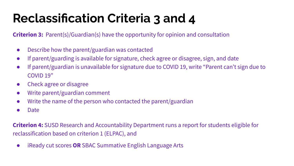### **Reclassification Criteria 3 and 4**

**Criterion 3:** Parent(s)/Guardian(s) have the opportunity for opinion and consultation

- Describe how the parent/guardian was contacted
- If parent/guarding is available for signature, check agree or disagree, sign, and date
- If parent/guardian is unavailable for signature due to COVID 19, write "Parent can't sign due to COVID 19"
- Check agree or disagree
- Write parent/guardian comment
- Write the name of the person who contacted the parent/guardian
- Date

**Criterion 4:** SUSD Research and Accountability Department runs a report for students eligible for reclassification based on criterion 1 (ELPAC), and

● iReady cut scores **OR** SBAC Summative English Language Arts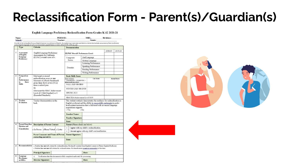### **Reclassification Form - Parent(s)/Guardian(s)**

#### English Language Proficiency Reclassification Form Grades K-12 2020-21

|                         | School:                                                | Name: Name: Name: Name: Name: Name: Name: Name: Name: Name: Name: Name: Name: Name: Name: Name: Name: Name: Name: Name: Name: Name: Name: Name: Name: Name: Name: Name: Name: Name: Name: Name: Name: Name: Name: Name: Name:            | PERM ID: SSID: SSID: Birthdate:<br>Teacher: Grade:         |                                     |                                                                                                                                                                                                                              |         |                     |
|-------------------------|--------------------------------------------------------|------------------------------------------------------------------------------------------------------------------------------------------------------------------------------------------------------------------------------------------|------------------------------------------------------------|-------------------------------------|------------------------------------------------------------------------------------------------------------------------------------------------------------------------------------------------------------------------------|---------|---------------------|
|                         |                                                        | In order to be reclassified from an English Learner to proficient in English, the student must meet state and district criteria that includes assessment of their proficiency                                                            |                                                            |                                     |                                                                                                                                                                                                                              |         |                     |
|                         |                                                        | in the English language as well as an assessment of performance in basic skills(SCCR 11303 [a] [d]).                                                                                                                                     |                                                            |                                     |                                                                                                                                                                                                                              |         |                     |
|                         | Type                                                   | Criteria                                                                                                                                                                                                                                 | <b>Documentation</b>                                       |                                     |                                                                                                                                                                                                                              |         |                     |
|                         |                                                        |                                                                                                                                                                                                                                          |                                                            |                                     |                                                                                                                                                                                                                              | 2018-19 | 2019-20             |
| $\mathbf{1}$            | Assessment<br>of English                               | English Language Proficiency<br>Assessments for California                                                                                                                                                                               | <b>ELPAC Overall Performance Level:</b>                    |                                     |                                                                                                                                                                                                                              |         |                     |
|                         | Language<br>Proficiency                                | (ELPAC) overall score of 4.                                                                                                                                                                                                              | Oral Language<br>Composite                                 |                                     |                                                                                                                                                                                                                              |         |                     |
|                         |                                                        |                                                                                                                                                                                                                                          | Scores                                                     |                                     | Written Language                                                                                                                                                                                                             |         |                     |
|                         |                                                        |                                                                                                                                                                                                                                          |                                                            |                                     | Listening Performance                                                                                                                                                                                                        |         |                     |
|                         |                                                        |                                                                                                                                                                                                                                          | Domains                                                    |                                     | Speaking Performance                                                                                                                                                                                                         |         |                     |
|                         |                                                        |                                                                                                                                                                                                                                          |                                                            |                                     | Reading Performance                                                                                                                                                                                                          |         |                     |
|                         |                                                        |                                                                                                                                                                                                                                          |                                                            |                                     | Writing Performance                                                                                                                                                                                                          |         |                     |
| $\overline{2}$          | Comparison                                             | Must meet or exceed                                                                                                                                                                                                                      | <b>Basic Skills Score</b>                                  |                                     |                                                                                                                                                                                                                              |         |                     |
|                         | of<br>Performance                                      | reclassification score on one                                                                                                                                                                                                            | HIGH SCHOOL:                                               |                                     | <b>Cut Score</b>                                                                                                                                                                                                             |         | <b>Actual Score</b> |
|                         | <b>Rasic</b><br>in.                                    | Measures of i-Ready benchmark<br>given three $(K-8)$ or two $(9-12)$                                                                                                                                                                     | <b>DISEMESTER 1 OSEMESTER 2</b><br>please mark one above)  |                                     |                                                                                                                                                                                                                              |         |                     |
|                         | <b>Skills</b>                                          | times a school year.                                                                                                                                                                                                                     | <b>FALL 2020/ HS BEG</b>                                   |                                     |                                                                                                                                                                                                                              |         |                     |
|                         |                                                        | Оr                                                                                                                                                                                                                                       | WINTER 2020/HS END                                         |                                     |                                                                                                                                                                                                                              |         |                     |
|                         |                                                        | Must meet the SBAC Achievement                                                                                                                                                                                                           | <b>SPRING 2021</b>                                         |                                     |                                                                                                                                                                                                                              |         |                     |
|                         |                                                        | Level of 3 (Met Standard) or 4<br>(Exceeded Standards)                                                                                                                                                                                   |                                                            |                                     |                                                                                                                                                                                                                              |         |                     |
|                         |                                                        |                                                                                                                                                                                                                                          | SBAC ELA Achievement Level 18/19                           |                                     |                                                                                                                                                                                                                              |         |                     |
| 3                       | Teacher<br><b>Evaluation</b>                           | Teacher documentation on the<br>back.                                                                                                                                                                                                    |                                                            | acquisitions supports.<br>$\Box$ No | This student routinely demonstrates the readiness for reclassification as<br>English proficient and the ability to successfully participate in grade-<br>level content instruction that is delivered with no second language |         |                     |
|                         |                                                        |                                                                                                                                                                                                                                          | <b>Teacher Name:</b>                                       |                                     |                                                                                                                                                                                                                              |         |                     |
|                         |                                                        |                                                                                                                                                                                                                                          |                                                            | <b>Teacher Signature:</b>           |                                                                                                                                                                                                                              |         |                     |
|                         |                                                        |                                                                                                                                                                                                                                          |                                                            |                                     |                                                                                                                                                                                                                              |         |                     |
| $\overline{\mathbf{4}}$ | Parent/Guardian                                        | <b>Description of Parent Contact</b>                                                                                                                                                                                                     | Date:<br>Parent (Please check one below)                   |                                     |                                                                                                                                                                                                                              |         |                     |
|                         | Opinion and<br><b>Consultation</b><br>$\Box$ In-Person |                                                                                                                                                                                                                                          | I agree with my child's reclassification.<br>$\Box$        |                                     |                                                                                                                                                                                                                              |         |                     |
|                         |                                                        | □Phone/Virtual □ Letter                                                                                                                                                                                                                  | I do not agree with my child's reclassification.<br>$\Box$ |                                     |                                                                                                                                                                                                                              |         |                     |
|                         |                                                        | <b>Parent Comments and Name of Person</b>                                                                                                                                                                                                | <b>Parent Signature:</b>                                   |                                     |                                                                                                                                                                                                                              |         |                     |
|                         |                                                        | contacting parent(s):                                                                                                                                                                                                                    |                                                            |                                     |                                                                                                                                                                                                                              |         |                     |
|                         |                                                        |                                                                                                                                                                                                                                          | Date:                                                      |                                     |                                                                                                                                                                                                                              |         |                     |
|                         |                                                        |                                                                                                                                                                                                                                          |                                                            |                                     |                                                                                                                                                                                                                              |         |                     |
| 5                       | Recommendation                                         | p Student has met all criteria for reclassification. Reclassify student from English Learner to Fluent English Proficient.<br>□ Student has not met all criteria for reclassification. Reclassification is not recommended at this time. |                                                            |                                     |                                                                                                                                                                                                                              |         |                     |
|                         |                                                        | <b>Principal Signature:</b>                                                                                                                                                                                                              |                                                            | Date:                               |                                                                                                                                                                                                                              |         |                     |
| 6                       | Language                                               | Verification that this document is fully completed and ready for processing.<br>$\overline{ }$                                                                                                                                           |                                                            |                                     |                                                                                                                                                                                                                              |         |                     |
|                         | Developme                                              | <b>Director Signature:</b>                                                                                                                                                                                                               |                                                            | Date:                               |                                                                                                                                                                                                                              |         |                     |
|                         | nt Office                                              |                                                                                                                                                                                                                                          |                                                            |                                     |                                                                                                                                                                                                                              |         |                     |

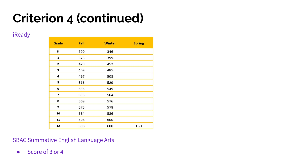## **Criterion 4 (continued)**

iReady

| Grade | Fall | <b>Winter</b> | <b>Spring</b> |
|-------|------|---------------|---------------|
| К     | 320  | 346           |               |
| 1     | 373  | 399           |               |
| 2     | 429  | 452           |               |
| 3     | 469  | 485           |               |
| 4     | 497  | 508           |               |
| 5     | 516  | 529           |               |
| 6     | 535  | 549           |               |
| 7     | 555  | 564           |               |
| 8     | 569  | 576           |               |
| 9     | 575  | 578           |               |
| 10    | 584  | 586           |               |
| 11    | 598  | 600           |               |
| 12    | 598  | 600           | <b>TBD</b>    |

<u> 1980 - Jan Barnett, fransk politiker (d. 1980)</u>

SBAC Summative English Language Arts

● Score of 3 or 4